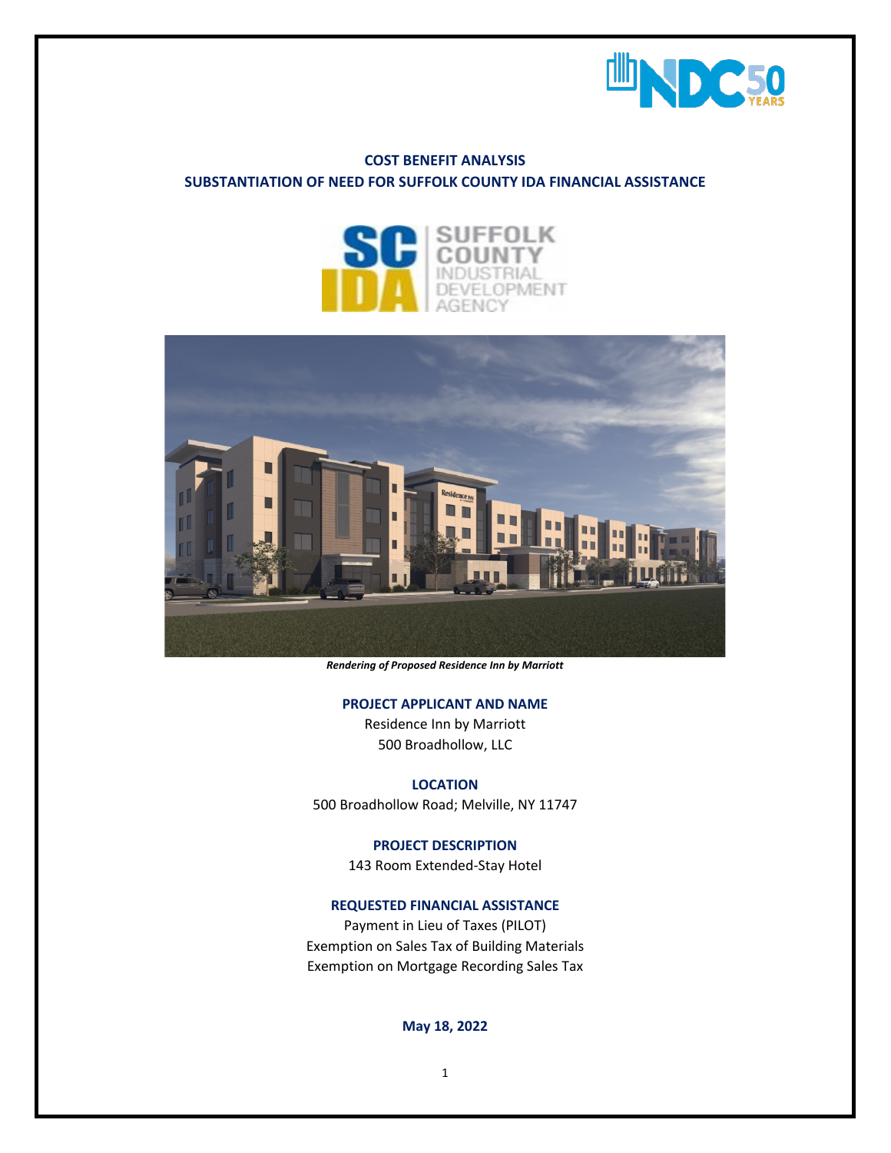

# **COST BENEFIT ANALYSIS SUBSTANTIATION OF NEED FOR SUFFOLK COUNTY IDA FINANCIAL ASSISTANCE**





*Rendering of Proposed Residence Inn by Marriott*

#### **PROJECT APPLICANT AND NAME**

Residence Inn by Marriott 500 Broadhollow, LLC

### **LOCATION**

500 Broadhollow Road; Melville, NY 11747

#### **PROJECT DESCRIPTION**

143 Room Extended-Stay Hotel

## **REQUESTED FINANCIAL ASSISTANCE**

Payment in Lieu of Taxes (PILOT) Exemption on Sales Tax of Building Materials Exemption on Mortgage Recording Sales Tax

#### **May 18, 2022**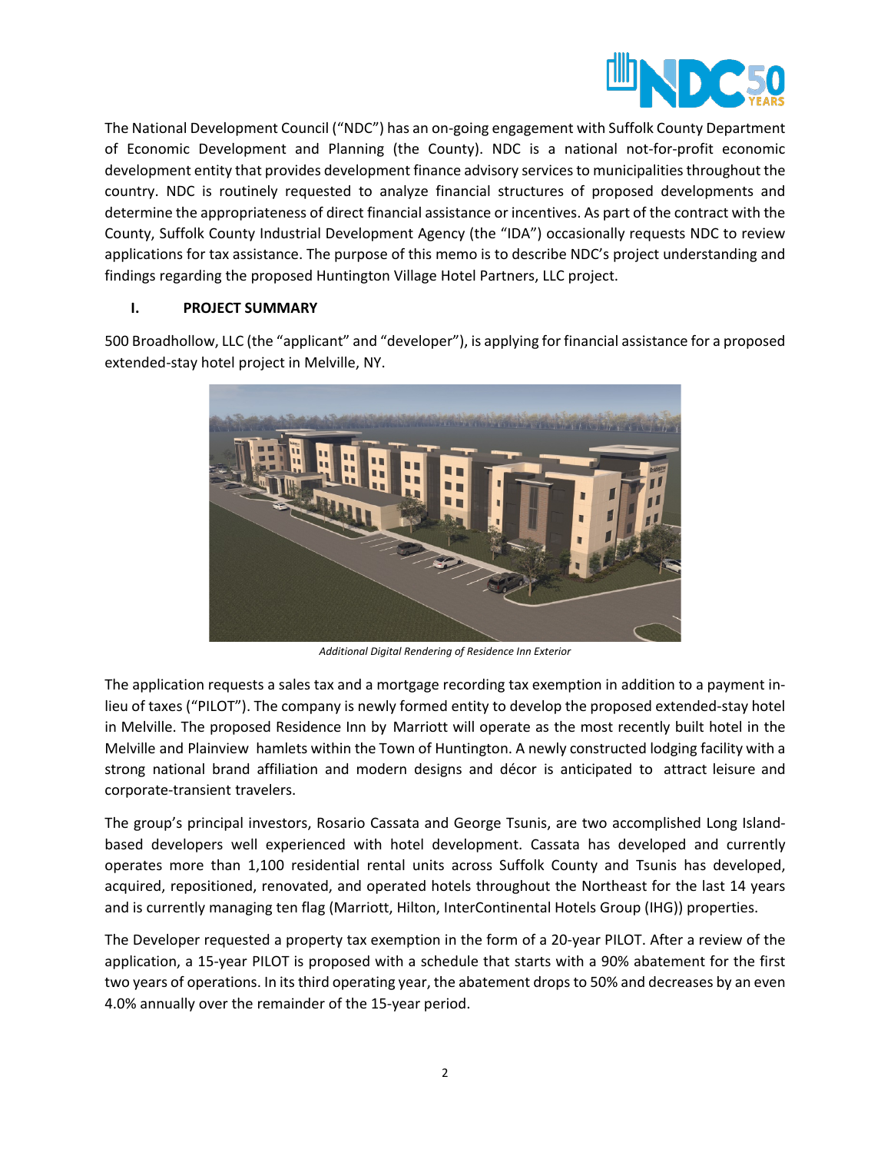

The National Development Council ("NDC") has an on-going engagement with Suffolk County Department of Economic Development and Planning (the County). NDC is a national not-for-profit economic development entity that provides development finance advisory services to municipalities throughout the country. NDC is routinely requested to analyze financial structures of proposed developments and determine the appropriateness of direct financial assistance or incentives. As part of the contract with the County, Suffolk County Industrial Development Agency (the "IDA") occasionally requests NDC to review applications for tax assistance. The purpose of this memo is to describe NDC's project understanding and findings regarding the proposed Huntington Village Hotel Partners, LLC project.

### **I. PROJECT SUMMARY**

500 Broadhollow, LLC (the "applicant" and "developer"), is applying for financial assistance for a proposed extended-stay hotel project in Melville, NY.



*Additional Digital Rendering of Residence Inn Exterior*

The application requests a sales tax and a mortgage recording tax exemption in addition to a payment inlieu of taxes ("PILOT"). The company is newly formed entity to develop the proposed extended-stay hotel in Melville. The proposed Residence Inn by Marriott will operate as the most recently built hotel in the Melville and Plainview hamlets within the Town of Huntington. A newly constructed lodging facility with a strong national brand affiliation and modern designs and décor is anticipated to attract leisure and corporate-transient travelers.

The group's principal investors, Rosario Cassata and George Tsunis, are two accomplished Long Islandbased developers well experienced with hotel development. Cassata has developed and currently operates more than 1,100 residential rental units across Suffolk County and Tsunis has developed, acquired, repositioned, renovated, and operated hotels throughout the Northeast for the last 14 years and is currently managing ten flag (Marriott, Hilton, InterContinental Hotels Group (IHG)) properties.

The Developer requested a property tax exemption in the form of a 20-year PILOT. After a review of the application, a 15-year PILOT is proposed with a schedule that starts with a 90% abatement for the first two years of operations. In its third operating year, the abatement drops to 50% and decreases by an even 4.0% annually over the remainder of the 15-year period.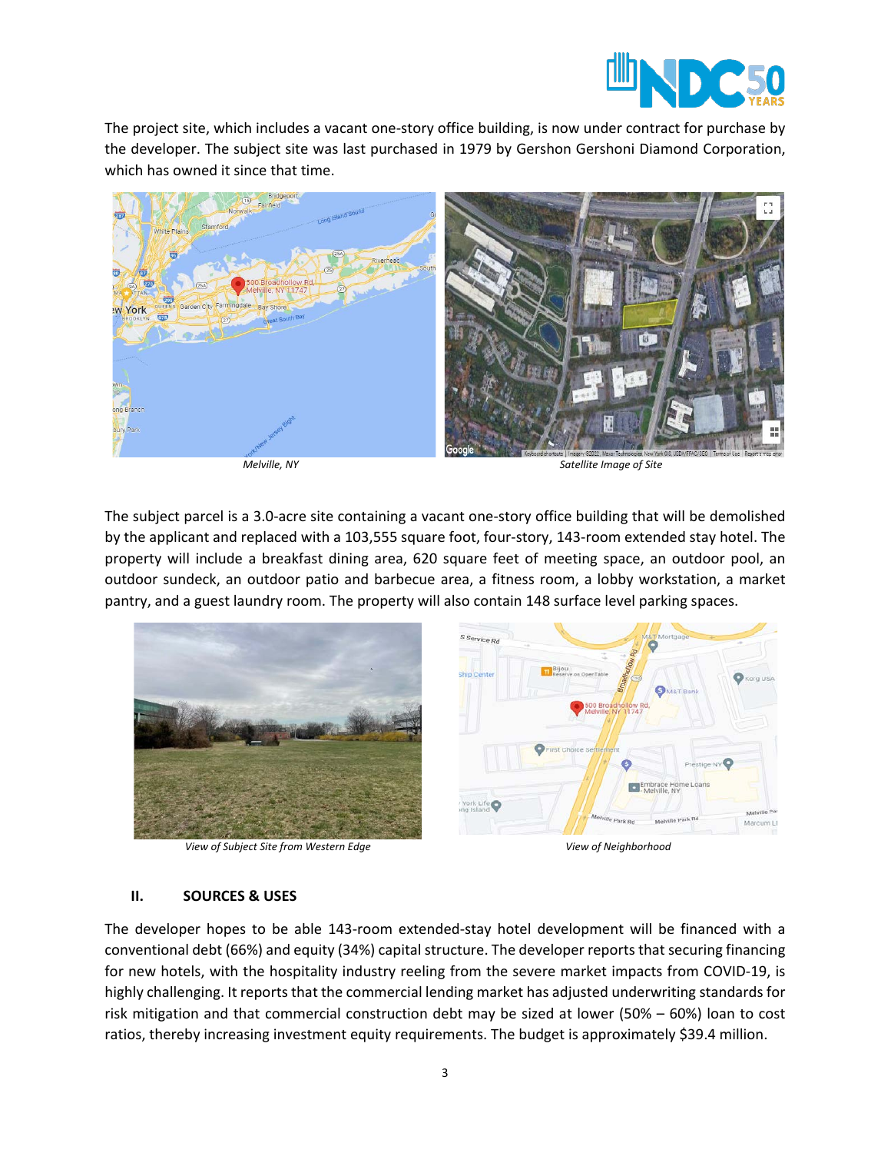

The project site, which includes a vacant one-story office building, is now under contract for purchase by the developer. The subject site was last purchased in 1979 by Gershon Gershoni Diamond Corporation, which has owned it since that time.



*Melville, NY Satellite Image of Site*

The subject parcel is a 3.0-acre site containing a vacant one-story office building that will be demolished by the applicant and replaced with a 103,555 square foot, four-story, 143-room extended stay hotel. The property will include a breakfast dining area, 620 square feet of meeting space, an outdoor pool, an outdoor sundeck, an outdoor patio and barbecue area, a fitness room, a lobby workstation, a market pantry, and a guest laundry room. The property will also contain 148 surface level parking spaces.



*View of Subject Site from Western Edge View of Neighborhood*

### **II. SOURCES & USES**

The developer hopes to be able 143-room extended-stay hotel development will be financed with a conventional debt (66%) and equity (34%) capital structure. The developer reports that securing financing for new hotels, with the hospitality industry reeling from the severe market impacts from COVID-19, is highly challenging. It reports that the commercial lending market has adjusted underwriting standards for risk mitigation and that commercial construction debt may be sized at lower (50% – 60%) loan to cost ratios, thereby increasing investment equity requirements. The budget is approximately \$39.4 million.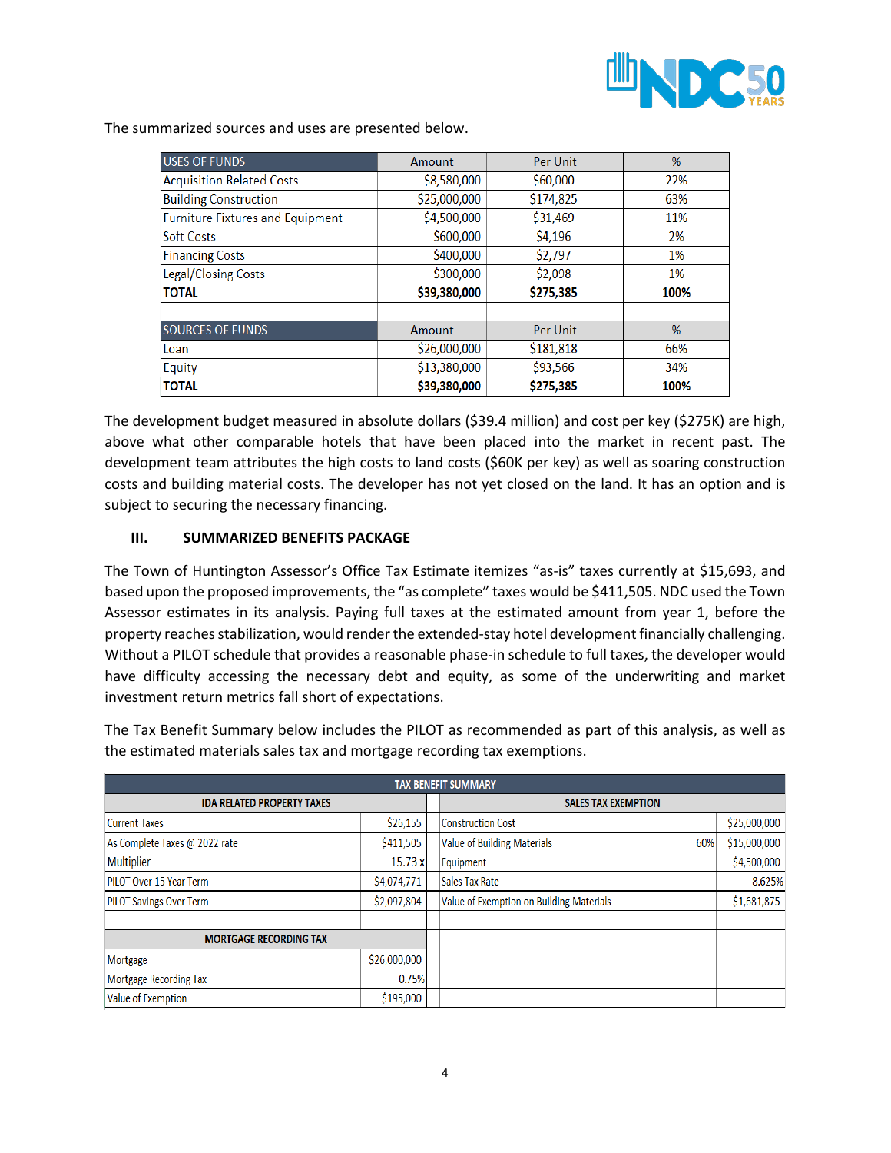

The summarized sources and uses are presented below.

| <b>USES OF FUNDS</b>                    | Amount       | Per Unit  | %    |
|-----------------------------------------|--------------|-----------|------|
| <b>Acquisition Related Costs</b>        | \$8,580,000  | \$60,000  | 22%  |
| <b>Building Construction</b>            | \$25,000,000 | \$174,825 | 63%  |
| <b>Furniture Fixtures and Equipment</b> | \$4,500,000  | \$31,469  | 11%  |
| Soft Costs                              | \$600,000    | \$4,196   | 2%   |
| <b>Financing Costs</b>                  | \$400,000    | \$2,797   | 1%   |
| Legal/Closing Costs                     | \$300,000    | \$2,098   | 1%   |
| <b>TOTAL</b>                            | \$39,380,000 | \$275,385 | 100% |
|                                         |              |           |      |
| <b>SOURCES OF FUNDS</b>                 | Amount       | Per Unit  | %    |
| Loan                                    | \$26,000,000 | \$181,818 | 66%  |
| Equity                                  | \$13,380,000 | \$93,566  | 34%  |
| <b>TOTAL</b>                            | \$39,380,000 | \$275,385 | 100% |

The development budget measured in absolute dollars (\$39.4 million) and cost per key (\$275K) are high, above what other comparable hotels that have been placed into the market in recent past. The development team attributes the high costs to land costs (\$60K per key) as well as soaring construction costs and building material costs. The developer has not yet closed on the land. It has an option and is subject to securing the necessary financing.

#### **III. SUMMARIZED BENEFITS PACKAGE**

The Town of Huntington Assessor's Office Tax Estimate itemizes "as-is" taxes currently at \$15,693, and based upon the proposed improvements, the "as complete" taxes would be \$411,505. NDC used the Town Assessor estimates in its analysis. Paying full taxes at the estimated amount from year 1, before the property reaches stabilization, would render the extended-stay hotel development financially challenging. Without a PILOT schedule that provides a reasonable phase-in schedule to full taxes, the developer would have difficulty accessing the necessary debt and equity, as some of the underwriting and market investment return metrics fall short of expectations.

The Tax Benefit Summary below includes the PILOT as recommended as part of this analysis, as well as the estimated materials sales tax and mortgage recording tax exemptions.

| <b>TAX BENEFIT SUMMARY</b>        |              |  |                                          |     |              |  |  |  |
|-----------------------------------|--------------|--|------------------------------------------|-----|--------------|--|--|--|
| <b>IDA RELATED PROPERTY TAXES</b> |              |  | <b>SALES TAX EXEMPTION</b>               |     |              |  |  |  |
| <b>Current Taxes</b>              | \$26,155     |  | <b>Construction Cost</b>                 |     | \$25,000,000 |  |  |  |
| As Complete Taxes @ 2022 rate     | \$411,505    |  | <b>Value of Building Materials</b>       | 60% | \$15,000,000 |  |  |  |
| Multiplier                        | 15.73 x      |  | Equipment                                |     | \$4,500,000  |  |  |  |
| <b>PILOT Over 15 Year Term</b>    | \$4,074,771  |  | Sales Tax Rate                           |     | 8.625%       |  |  |  |
| <b>PILOT Savings Over Term</b>    | \$2,097,804  |  | Value of Exemption on Building Materials |     | \$1,681,875  |  |  |  |
|                                   |              |  |                                          |     |              |  |  |  |
| <b>MORTGAGE RECORDING TAX</b>     |              |  |                                          |     |              |  |  |  |
| Mortgage                          | \$26,000,000 |  |                                          |     |              |  |  |  |
| Mortgage Recording Tax            | 0.75%        |  |                                          |     |              |  |  |  |
| Value of Exemption                | \$195,000    |  |                                          |     |              |  |  |  |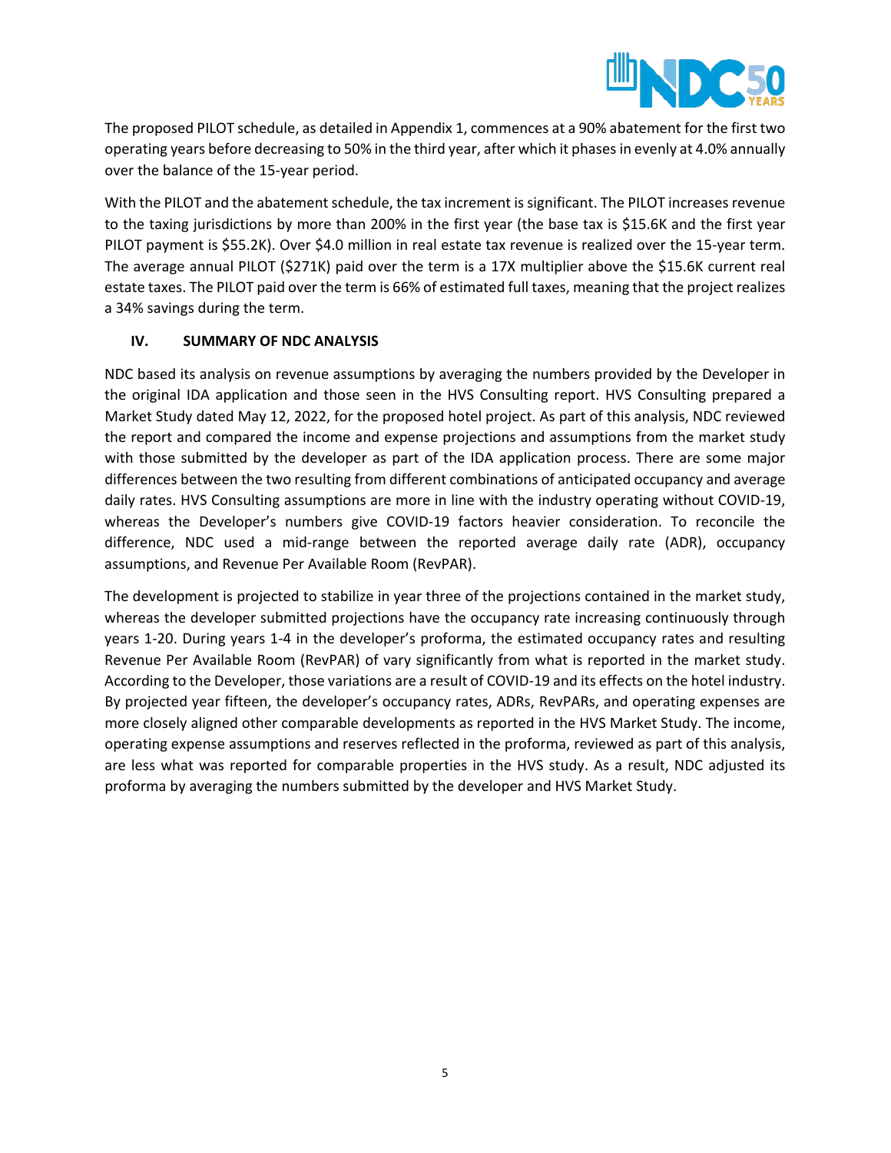

The proposed PILOT schedule, as detailed in Appendix 1, commences at a 90% abatement for the first two operating years before decreasing to 50% in the third year, after which it phasesin evenly at 4.0% annually over the balance of the 15-year period.

With the PILOT and the abatement schedule, the tax increment is significant. The PILOT increases revenue to the taxing jurisdictions by more than 200% in the first year (the base tax is \$15.6K and the first year PILOT payment is \$55.2K). Over \$4.0 million in real estate tax revenue is realized over the 15-year term. The average annual PILOT (\$271K) paid over the term is a 17X multiplier above the \$15.6K current real estate taxes. The PILOT paid over the term is 66% of estimated full taxes, meaning that the project realizes a 34% savings during the term.

## **IV. SUMMARY OF NDC ANALYSIS**

NDC based its analysis on revenue assumptions by averaging the numbers provided by the Developer in the original IDA application and those seen in the HVS Consulting report. HVS Consulting prepared a Market Study dated May 12, 2022, for the proposed hotel project. As part of this analysis, NDC reviewed the report and compared the income and expense projections and assumptions from the market study with those submitted by the developer as part of the IDA application process. There are some major differences between the two resulting from different combinations of anticipated occupancy and average daily rates. HVS Consulting assumptions are more in line with the industry operating without COVID-19, whereas the Developer's numbers give COVID-19 factors heavier consideration. To reconcile the difference, NDC used a mid-range between the reported average daily rate (ADR), occupancy assumptions, and Revenue Per Available Room (RevPAR).

The development is projected to stabilize in year three of the projections contained in the market study, whereas the developer submitted projections have the occupancy rate increasing continuously through years 1-20. During years 1-4 in the developer's proforma, the estimated occupancy rates and resulting Revenue Per Available Room (RevPAR) of vary significantly from what is reported in the market study. According to the Developer, those variations are a result of COVID-19 and its effects on the hotel industry. By projected year fifteen, the developer's occupancy rates, ADRs, RevPARs, and operating expenses are more closely aligned other comparable developments as reported in the HVS Market Study. The income, operating expense assumptions and reserves reflected in the proforma, reviewed as part of this analysis, are less what was reported for comparable properties in the HVS study. As a result, NDC adjusted its proforma by averaging the numbers submitted by the developer and HVS Market Study.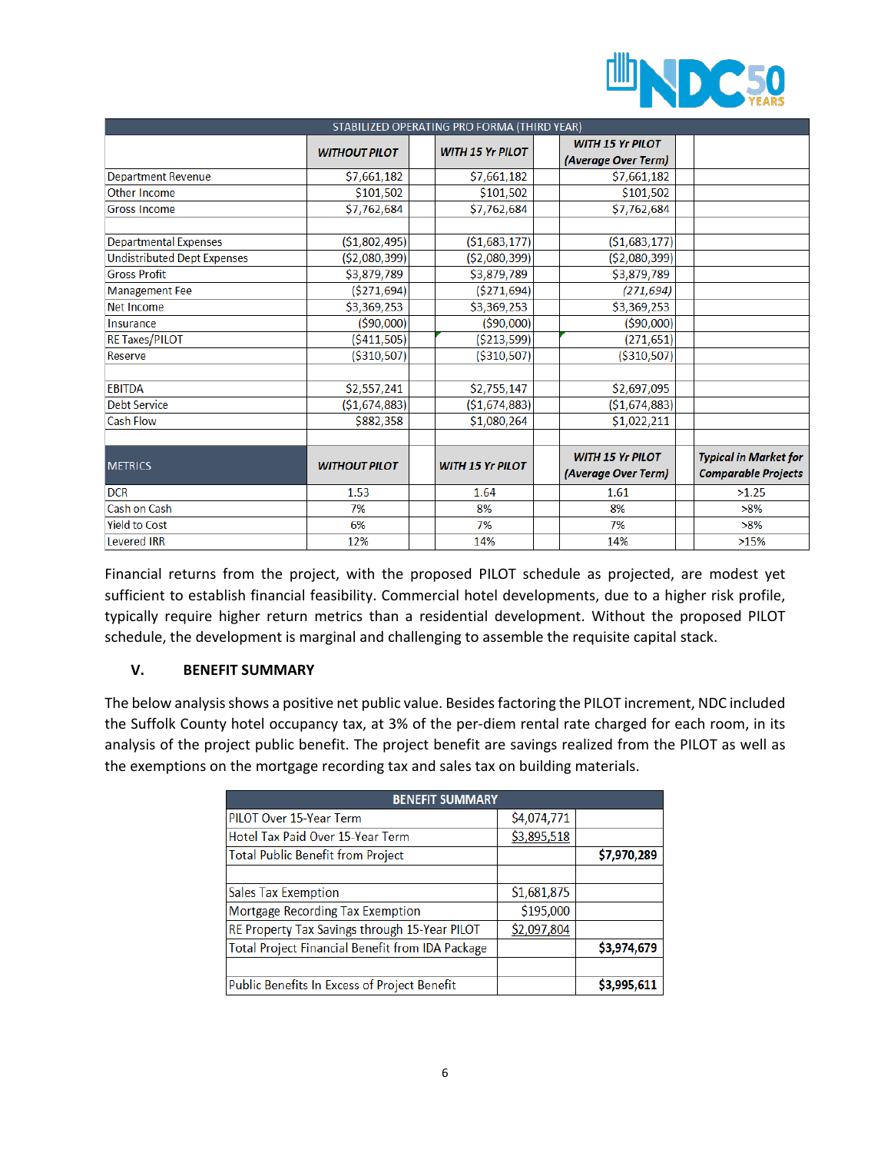

| STABILIZED OPERATING PRO FORMA (THIRD YEAR) |                      |  |                         |  |                         |  |                              |  |  |
|---------------------------------------------|----------------------|--|-------------------------|--|-------------------------|--|------------------------------|--|--|
|                                             | <b>WITHOUT PILOT</b> |  | <b>WITH 15 Yr PILOT</b> |  | <b>WITH 15 Yr PILOT</b> |  |                              |  |  |
|                                             |                      |  |                         |  | (Average Over Term)     |  |                              |  |  |
| <b>Department Revenue</b>                   | \$7,661,182          |  | \$7,661,182             |  | \$7,661,182             |  |                              |  |  |
| Other Income                                | \$101,502            |  | \$101,502               |  | \$101,502               |  |                              |  |  |
| <b>Gross Income</b>                         | \$7,762,684          |  | \$7,762,684             |  | \$7,762,684             |  |                              |  |  |
| <b>Departmental Expenses</b>                | (\$1,802,495)        |  | (\$1,683,177)           |  | (\$1,683,177)           |  |                              |  |  |
|                                             |                      |  |                         |  |                         |  |                              |  |  |
| <b>Undistributed Dept Expenses</b>          | ( \$2,080,399)       |  | ( \$2,080,399)          |  | ( \$2,080,399)          |  |                              |  |  |
| <b>Gross Profit</b>                         | \$3,879,789          |  | \$3,879,789             |  | \$3,879,789             |  |                              |  |  |
| <b>Management Fee</b>                       | ( \$271,694)         |  | ( \$271,694)            |  | (271, 694)              |  |                              |  |  |
| <b>Net Income</b>                           | \$3,369,253          |  | \$3,369,253             |  | \$3,369,253             |  |                              |  |  |
| Insurance                                   | ( \$90,000)          |  | ( \$90,000)             |  | ( \$90,000)             |  |                              |  |  |
| <b>RE Taxes/PILOT</b>                       | ( \$411, 505)        |  | ( \$213, 599)           |  | (271, 651)              |  |                              |  |  |
| Reserve                                     | ( \$310, 507)        |  | ( \$310, 507)           |  | ( \$310, 507)           |  |                              |  |  |
|                                             |                      |  |                         |  |                         |  |                              |  |  |
| <b>EBITDA</b>                               | \$2,557,241          |  | \$2,755,147             |  | \$2,697,095             |  |                              |  |  |
| <b>Debt Service</b>                         | ( \$1,674,883)       |  | ( \$1,674,883)          |  | ( \$1,674,883)          |  |                              |  |  |
| <b>Cash Flow</b>                            | \$882,358            |  | \$1,080,264             |  | \$1,022,211             |  |                              |  |  |
|                                             |                      |  |                         |  |                         |  |                              |  |  |
| <b>METRICS</b>                              | <b>WITHOUT PILOT</b> |  | <b>WITH 15 Yr PILOT</b> |  | <b>WITH 15 Yr PILOT</b> |  | <b>Typical in Market for</b> |  |  |
|                                             |                      |  |                         |  | (Average Over Term)     |  | <b>Comparable Projects</b>   |  |  |
| <b>DCR</b>                                  | 1.53                 |  | 1.64                    |  | 1.61                    |  | >1.25                        |  |  |
| Cash on Cash                                | 7%                   |  | 8%                      |  | 8%                      |  | $>8\%$                       |  |  |
| <b>Yield to Cost</b>                        | 6%                   |  | 7%                      |  | 7%                      |  | $>8\%$                       |  |  |
| <b>Levered IRR</b>                          | 12%                  |  | 14%                     |  | 14%                     |  | >15%                         |  |  |

Financial returns from the project, with the proposed PILOT schedule as projected, are modest yet sufficient to establish financial feasibility. Commercial hotel developments, due to a higher risk profile, typically require higher return metrics than a residential development. Without the proposed PILOT schedule, the development is marginal and challenging to assemble the requisite capital stack.

### **V. BENEFIT SUMMARY**

The below analysis shows a positive net public value. Besides factoring the PILOT increment, NDC included the Suffolk County hotel occupancy tax, at 3% of the per-diem rental rate charged for each room, in its analysis of the project public benefit. The project benefit are savings realized from the PILOT as well as the exemptions on the mortgage recording tax and sales tax on building materials.

| <b>BENEFIT SUMMARY</b>                                  |             |             |
|---------------------------------------------------------|-------------|-------------|
| PILOT Over 15-Year Term                                 | \$4,074,771 |             |
| Hotel Tax Paid Over 15-Year Term                        | \$3,895,518 |             |
| <b>Total Public Benefit from Project</b>                |             | \$7,970,289 |
|                                                         |             |             |
| <b>Sales Tax Exemption</b>                              | \$1,681,875 |             |
| Mortgage Recording Tax Exemption                        | \$195,000   |             |
| RE Property Tax Savings through 15-Year PILOT           | \$2,097,804 |             |
| <b>Total Project Financial Benefit from IDA Package</b> |             | \$3,974,679 |
|                                                         |             |             |
| <b>Public Benefits In Excess of Project Benefit</b>     |             | \$3,995,611 |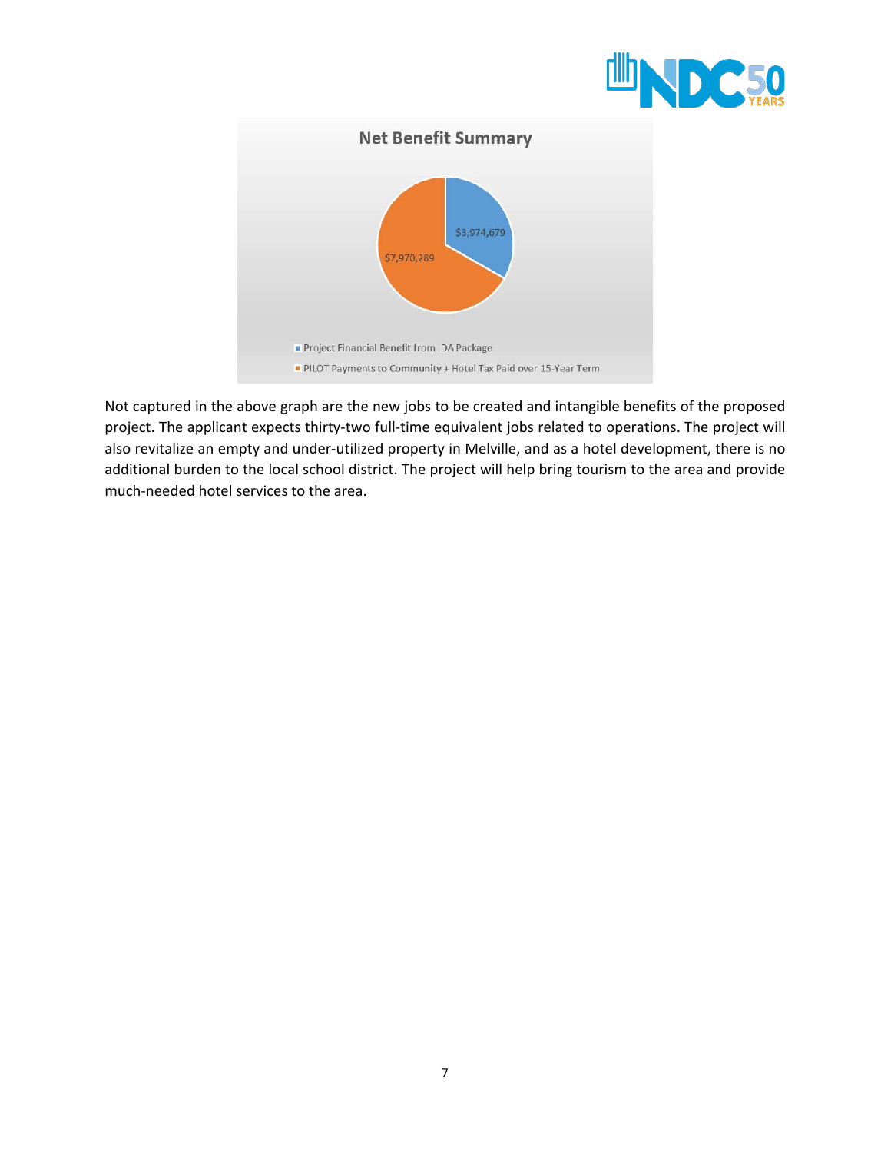



Not captured in the above graph are the new jobs to be created and intangible benefits of the proposed project. The applicant expects thirty-two full-time equivalent jobs related to operations. The project will also revitalize an empty and under-utilized property in Melville, and as a hotel development, there is no additional burden to the local school district. The project will help bring tourism to the area and provide much-needed hotel services to the area.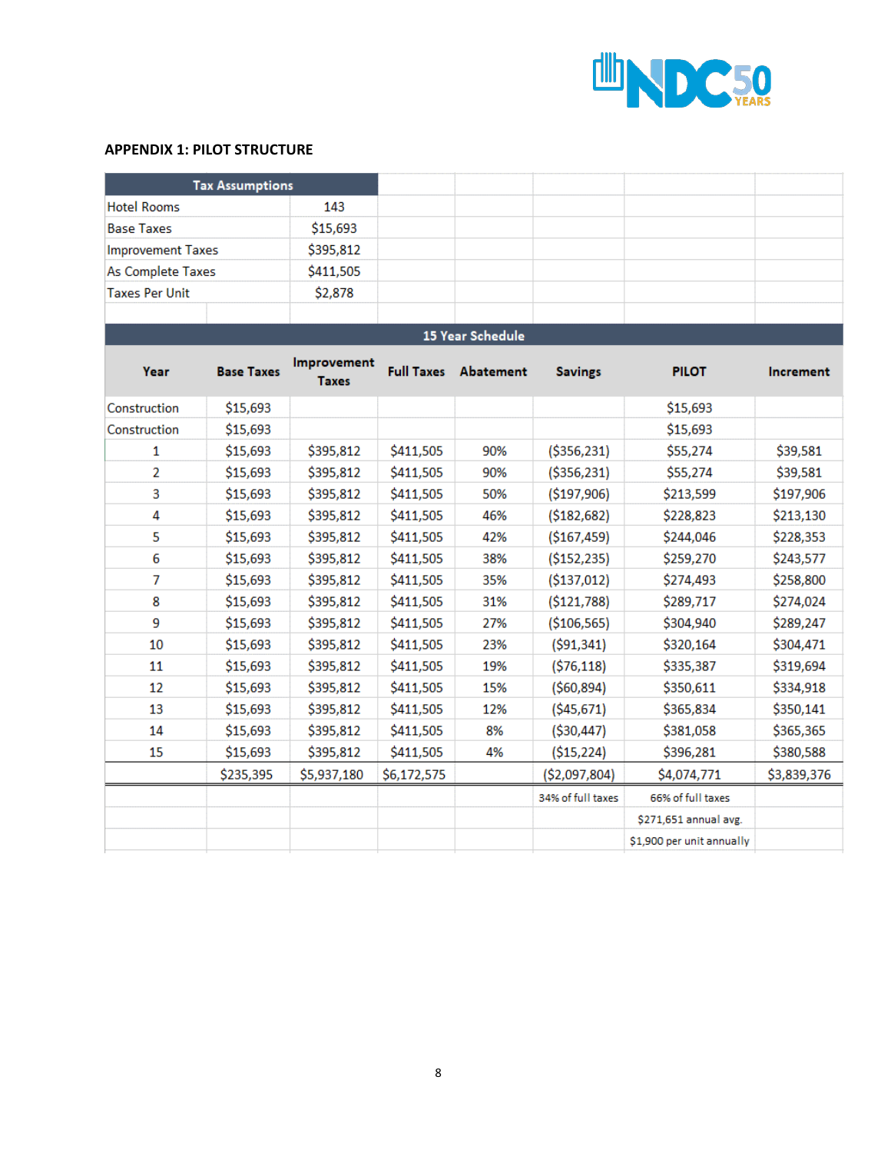

#### **APPENDIX 1: PILOT STRUCTURE**

|                          | <b>Tax Assumptions</b> |                             |                   |                  |                   |                           |             |
|--------------------------|------------------------|-----------------------------|-------------------|------------------|-------------------|---------------------------|-------------|
| <b>Hotel Rooms</b>       |                        | 143                         |                   |                  |                   |                           |             |
| <b>Base Taxes</b>        |                        | \$15,693                    |                   |                  |                   |                           |             |
| <b>Improvement Taxes</b> |                        | \$395,812                   |                   |                  |                   |                           |             |
| As Complete Taxes        |                        | \$411,505                   |                   |                  |                   |                           |             |
| <b>Taxes Per Unit</b>    |                        | \$2,878                     |                   |                  |                   |                           |             |
|                          |                        |                             |                   |                  |                   |                           |             |
|                          |                        |                             |                   | 15 Year Schedule |                   |                           |             |
| Year                     | <b>Base Taxes</b>      | Improvement<br><b>Taxes</b> | <b>Full Taxes</b> | Abatement        | <b>Savings</b>    | <b>PILOT</b>              | Increment   |
| Construction             | \$15,693               |                             |                   |                  |                   | \$15,693                  |             |
| Construction             | \$15,693               |                             |                   |                  |                   | \$15,693                  |             |
| 1                        | \$15,693               | \$395,812                   | \$411,505         | 90%              | ( \$356, 231)     | \$55,274                  | \$39,581    |
| $\overline{2}$           | \$15,693               | \$395,812                   | \$411,505         | 90%              | ( \$356, 231)     | \$55,274                  | \$39,581    |
| 3                        | \$15,693               | \$395,812                   | \$411,505         | 50%              | ( \$197, 906)     | \$213,599                 | \$197,906   |
| 4                        | \$15,693               | \$395,812                   | \$411,505         | 46%              | ( \$182, 682)     | \$228,823                 | \$213,130   |
| 5                        | \$15,693               | \$395,812                   | \$411,505         | 42%              | ( \$167,459)      | \$244,046                 | \$228,353   |
| 6                        | \$15,693               | \$395,812                   | \$411,505         | 38%              | ( \$152, 235)     | \$259,270                 | \$243,577   |
| 7                        | \$15,693               | \$395,812                   | \$411,505         | 35%              | ( \$137,012)      | \$274,493                 | \$258,800   |
| 8                        | \$15,693               | \$395,812                   | \$411,505         | 31%              | ( \$121,788)      | \$289,717                 | \$274,024   |
| 9                        | \$15,693               | \$395,812                   | \$411,505         | 27%              | (\$106,565)       | \$304,940                 | \$289,247   |
| 10                       | \$15,693               | \$395,812                   | \$411,505         | 23%              | ( \$91,341)       | \$320,164                 | \$304,471   |
| 11                       | \$15,693               | \$395,812                   | \$411,505         | 19%              | ( \$76, 118)      | \$335,387                 | \$319,694   |
| 12                       | \$15,693               | \$395,812                   | \$411,505         | 15%              | ( \$60, 894)      | \$350,611                 | \$334,918   |
| 13                       | \$15,693               | \$395,812                   | \$411,505         | 12%              | ( \$45,671)       | \$365,834                 | \$350,141   |
| 14                       | \$15,693               | \$395,812                   | \$411,505         | 8%               | ( \$30,447)       | \$381,058                 | \$365,365   |
| 15                       | \$15,693               | \$395,812                   | \$411,505         | 4%               | ( \$15, 224)      | \$396,281                 | \$380,588   |
|                          | \$235,395              | \$5,937,180                 | \$6,172,575       |                  | (\$2,097,804)     | \$4,074,771               | \$3,839,376 |
|                          |                        |                             |                   |                  | 34% of full taxes | 66% of full taxes         |             |
|                          |                        |                             |                   |                  |                   | \$271,651 annual avg.     |             |
|                          |                        |                             |                   |                  |                   | \$1,900 per unit annually |             |